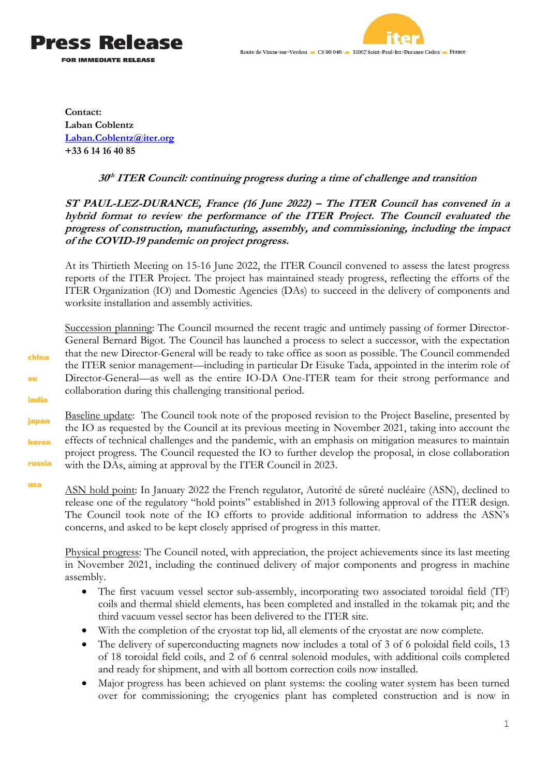



**Contact: Laban Coblentz [Laban.Coblentz@iter.org](mailto:Laban.Coblentz@iter.org) +33 6 14 16 40 85**

china

eu

india

japan

korea

russia

usa

## **30 th ITER Council: continuing progress during a time of challenge and transition**

## **ST PAUL-LEZ-DURANCE, France (16 June 2022) – The ITER Council has convened in a hybrid format to review the performance of the ITER Project. The Council evaluated the progress of construction, manufacturing, assembly, and commissioning, including the impact of the COVID-19 pandemic on project progress.**

At its Thirtieth Meeting on 15-16 June 2022, the ITER Council convened to assess the latest progress reports of the ITER Project. The project has maintained steady progress, reflecting the efforts of the ITER Organization (IO) and Domestic Agencies (DAs) to succeed in the delivery of components and worksite installation and assembly activities.

Succession planning: The Council mourned the recent tragic and untimely passing of former Director-General Bernard Bigot. The Council has launched a process to select a successor, with the expectation that the new Director-General will be ready to take office as soon as possible. The Council commended the ITER senior management—including in particular Dr Eisuke Tada, appointed in the interim role of Director-General—as well as the entire IO-DA One-ITER team for their strong performance and collaboration during this challenging transitional period.

Baseline update: The Council took note of the proposed revision to the Project Baseline, presented by the IO as requested by the Council at its previous meeting in November 2021, taking into account the effects of technical challenges and the pandemic, with an emphasis on mitigation measures to maintain project progress. The Council requested the IO to further develop the proposal, in close collaboration with the DAs, aiming at approval by the ITER Council in 2023.

ASN hold point: In January 2022 the French regulator, Autorité de sûreté nucléaire (ASN), declined to release one of the regulatory "hold points" established in 2013 following approval of the ITER design. The Council took note of the IO efforts to provide additional information to address the ASN's concerns, and asked to be kept closely apprised of progress in this matter.

Physical progress: The Council noted, with appreciation, the project achievements since its last meeting in November 2021, including the continued delivery of major components and progress in machine assembly.

- The first vacuum vessel sector sub-assembly, incorporating two associated toroidal field (TF) coils and thermal shield elements, has been completed and installed in the tokamak pit; and the third vacuum vessel sector has been delivered to the ITER site.
- With the completion of the cryostat top lid, all elements of the cryostat are now complete.
- The delivery of superconducting magnets now includes a total of 3 of 6 poloidal field coils, 13 of 18 toroidal field coils, and 2 of 6 central solenoid modules, with additional coils completed and ready for shipment, and with all bottom correction coils now installed.
- Major progress has been achieved on plant systems: the cooling water system has been turned over for commissioning; the cryogenics plant has completed construction and is now in